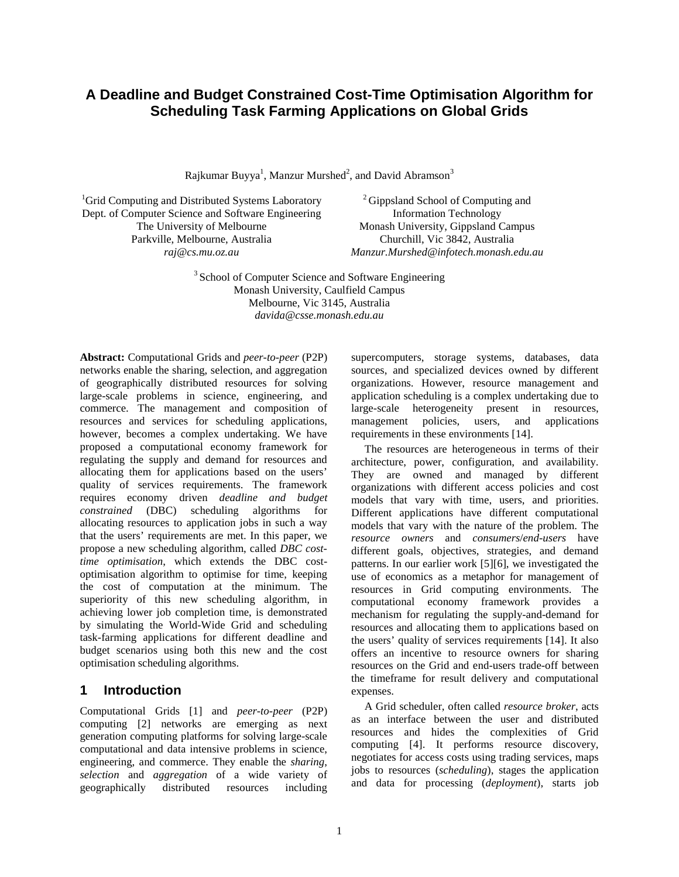# **A Deadline and Budget Constrained Cost-Time Optimisation Algorithm for Scheduling Task Farming Applications on Global Grids**

Rajkumar Buyya<sup>1</sup>, Manzur Murshed<sup>2</sup>, and David Abramson<sup>3</sup>

<sup>1</sup>Grid Computing and Distributed Systems Laboratory Dept. of Computer Science and Software Engineering The University of Melbourne Parkville, Melbourne, Australia *raj@cs.mu.oz.au*

<sup>2</sup> Gippsland School of Computing and Information Technology Monash University, Gippsland Campus Churchill, Vic 3842, Australia *Manzur.Murshed@infotech.monash.edu.au*

<sup>3</sup> School of Computer Science and Software Engineering Monash University, Caulfield Campus Melbourne, Vic 3145, Australia *davida@csse.monash.edu.au*

**Abstract:** Computational Grids and *peer-to-peer* (P2P) networks enable the sharing, selection, and aggregation of geographically distributed resources for solving large-scale problems in science, engineering, and commerce. The management and composition of resources and services for scheduling applications, however, becomes a complex undertaking. We have proposed a computational economy framework for regulating the supply and demand for resources and allocating them for applications based on the users' quality of services requirements. The framework requires economy driven *deadline and budget constrained* (DBC) scheduling algorithms for allocating resources to application jobs in such a way that the users' requirements are met. In this paper, we propose a new scheduling algorithm, called *DBC costtime optimisation*, which extends the DBC costoptimisation algorithm to optimise for time, keeping the cost of computation at the minimum. The superiority of this new scheduling algorithm, in achieving lower job completion time, is demonstrated by simulating the World-Wide Grid and scheduling task-farming applications for different deadline and budget scenarios using both this new and the cost optimisation scheduling algorithms.

### **1 Introduction**

Computational Grids [1] and *peer-to-peer* (P2P) computing [2] networks are emerging as next generation computing platforms for solving large-scale computational and data intensive problems in science, engineering, and commerce. They enable the *sharing*, *selection* and *aggregation* of a wide variety of geographically distributed resources including supercomputers, storage systems, databases, data sources, and specialized devices owned by different organizations. However, resource management and application scheduling is a complex undertaking due to large-scale heterogeneity present in resources, management policies, users, and applications requirements in these environments [14].

The resources are heterogeneous in terms of their architecture, power, configuration, and availability. They are owned and managed by different organizations with different access policies and cost models that vary with time, users, and priorities. Different applications have different computational models that vary with the nature of the problem. The *resource owners* and *consumers*/*end-users* have different goals, objectives, strategies, and demand patterns. In our earlier work [5][6], we investigated the use of economics as a metaphor for management of resources in Grid computing environments. The computational economy framework provides a mechanism for regulating the supply-and-demand for resources and allocating them to applications based on the users' quality of services requirements [14]. It also offers an incentive to resource owners for sharing resources on the Grid and end-users trade-off between the timeframe for result delivery and computational expenses.

A Grid scheduler, often called *resource broker*, acts as an interface between the user and distributed resources and hides the complexities of Grid computing [4]. It performs resource discovery, negotiates for access costs using trading services, maps jobs to resources (*scheduling*), stages the application and data for processing (*deployment*), starts job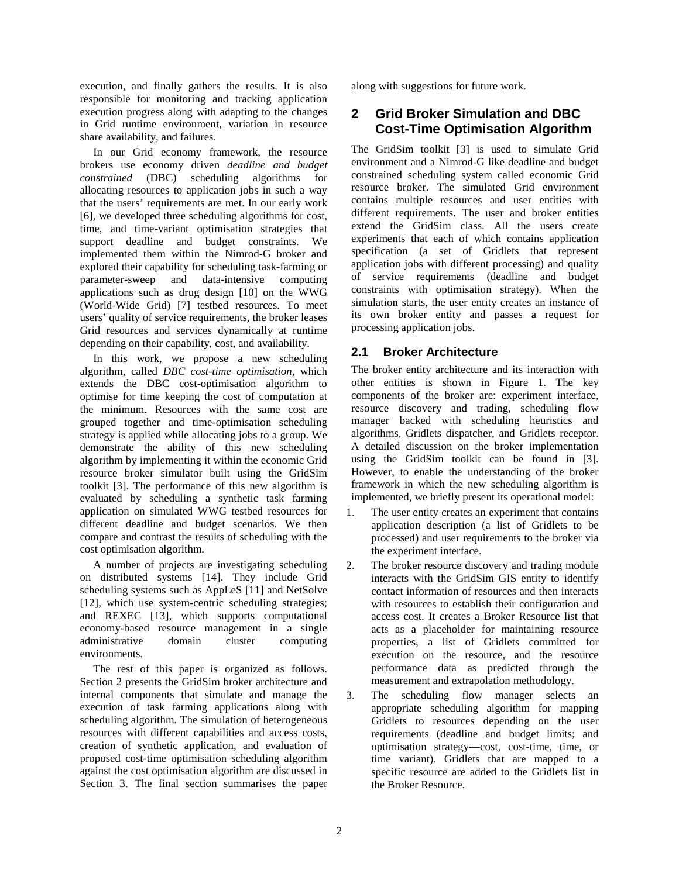execution, and finally gathers the results. It is also responsible for monitoring and tracking application execution progress along with adapting to the changes in Grid runtime environment, variation in resource share availability, and failures.

In our Grid economy framework, the resource brokers use economy driven *deadline and budget constrained* (DBC) scheduling algorithms for allocating resources to application jobs in such a way that the users' requirements are met. In our early work [6], we developed three scheduling algorithms for cost, time, and time-variant optimisation strategies that support deadline and budget constraints. We implemented them within the Nimrod-G broker and explored their capability for scheduling task-farming or parameter-sweep and data-intensive computing applications such as drug design [10] on the WWG (World-Wide Grid) [7] testbed resources. To meet users' quality of service requirements, the broker leases Grid resources and services dynamically at runtime depending on their capability, cost, and availability.

In this work, we propose a new scheduling algorithm, called *DBC cost-time optimisation*, which extends the DBC cost-optimisation algorithm to optimise for time keeping the cost of computation at the minimum. Resources with the same cost are grouped together and time-optimisation scheduling strategy is applied while allocating jobs to a group. We demonstrate the ability of this new scheduling algorithm by implementing it within the economic Grid resource broker simulator built using the GridSim toolkit [3]. The performance of this new algorithm is evaluated by scheduling a synthetic task farming application on simulated WWG testbed resources for different deadline and budget scenarios. We then compare and contrast the results of scheduling with the cost optimisation algorithm.

A number of projects are investigating scheduling on distributed systems [14]. They include Grid scheduling systems such as AppLeS [11] and NetSolve [12], which use system-centric scheduling strategies; and REXEC [13], which supports computational economy-based resource management in a single administrative domain cluster computing environments.

The rest of this paper is organized as follows. Section 2 presents the GridSim broker architecture and internal components that simulate and manage the execution of task farming applications along with scheduling algorithm. The simulation of heterogeneous resources with different capabilities and access costs, creation of synthetic application, and evaluation of proposed cost-time optimisation scheduling algorithm against the cost optimisation algorithm are discussed in Section 3. The final section summarises the paper

along with suggestions for future work.

## **2 Grid Broker Simulation and DBC Cost-Time Optimisation Algorithm**

The GridSim toolkit [3] is used to simulate Grid environment and a Nimrod-G like deadline and budget constrained scheduling system called economic Grid resource broker. The simulated Grid environment contains multiple resources and user entities with different requirements. The user and broker entities extend the GridSim class. All the users create experiments that each of which contains application specification (a set of Gridlets that represent application jobs with different processing) and quality of service requirements (deadline and budget constraints with optimisation strategy). When the simulation starts, the user entity creates an instance of its own broker entity and passes a request for processing application jobs.

### **2.1 Broker Architecture**

The broker entity architecture and its interaction with other entities is shown in Figure 1. The key components of the broker are: experiment interface, resource discovery and trading, scheduling flow manager backed with scheduling heuristics and algorithms, Gridlets dispatcher, and Gridlets receptor. A detailed discussion on the broker implementation using the GridSim toolkit can be found in [3]. However, to enable the understanding of the broker framework in which the new scheduling algorithm is implemented, we briefly present its operational model:

- 1. The user entity creates an experiment that contains application description (a list of Gridlets to be processed) and user requirements to the broker via the experiment interface.
- 2. The broker resource discovery and trading module interacts with the GridSim GIS entity to identify contact information of resources and then interacts with resources to establish their configuration and access cost. It creates a Broker Resource list that acts as a placeholder for maintaining resource properties, a list of Gridlets committed for execution on the resource, and the resource performance data as predicted through the measurement and extrapolation methodology.
- 3. The scheduling flow manager selects an appropriate scheduling algorithm for mapping Gridlets to resources depending on the user requirements (deadline and budget limits; and optimisation strategy—cost, cost-time, time, or time variant). Gridlets that are mapped to a specific resource are added to the Gridlets list in the Broker Resource.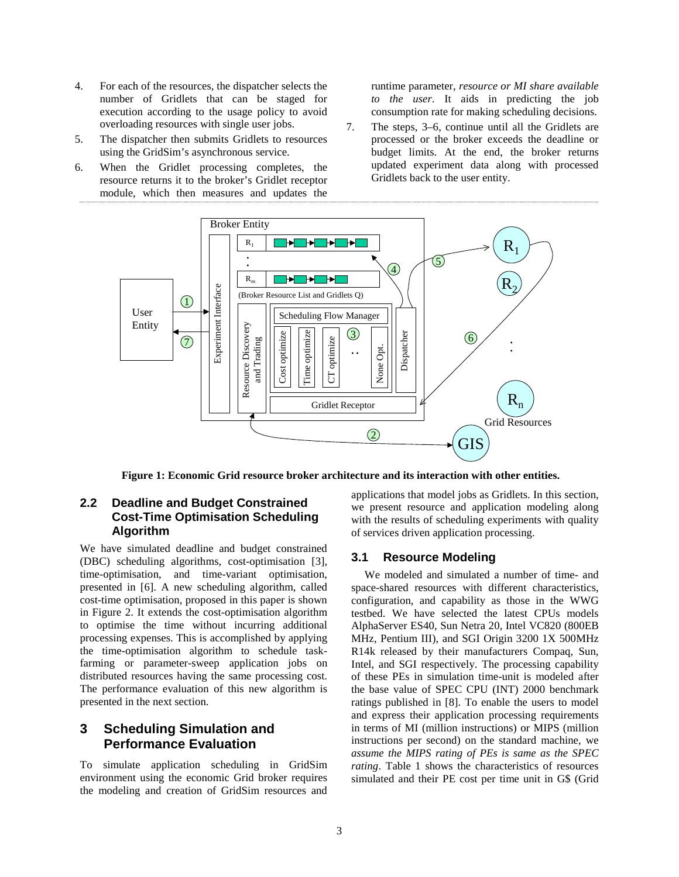- 4. For each of the resources, the dispatcher selects the number of Gridlets that can be staged for execution according to the usage policy to avoid overloading resources with single user jobs.
- 5. The dispatcher then submits Gridlets to resources using the GridSim's asynchronous service.
- 6. When the Gridlet processing completes, the resource returns it to the broker's Gridlet receptor module, which then measures and updates the

runtime parameter, *resource or MI share available to the user*. It aids in predicting the job consumption rate for making scheduling decisions.

7. The steps, 3–6, continue until all the Gridlets are processed or the broker exceeds the deadline or budget limits. At the end, the broker returns updated experiment data along with processed Gridlets back to the user entity.



**Figure 1: Economic Grid resource broker architecture and its interaction with other entities.**

#### **2.2 Deadline and Budget Constrained Cost-Time Optimisation Scheduling Algorithm**

We have simulated deadline and budget constrained (DBC) scheduling algorithms, cost-optimisation [3], time-optimisation, and time-variant optimisation, presented in [6]. A new scheduling algorithm, called cost-time optimisation, proposed in this paper is shown in Figure 2. It extends the cost-optimisation algorithm to optimise the time without incurring additional processing expenses. This is accomplished by applying the time-optimisation algorithm to schedule taskfarming or parameter-sweep application jobs on distributed resources having the same processing cost. The performance evaluation of this new algorithm is presented in the next section.

## **3 Scheduling Simulation and Performance Evaluation**

To simulate application scheduling in GridSim environment using the economic Grid broker requires the modeling and creation of GridSim resources and

applications that model jobs as Gridlets. In this section, we present resource and application modeling along with the results of scheduling experiments with quality of services driven application processing.

#### **3.1 Resource Modeling**

We modeled and simulated a number of time- and space-shared resources with different characteristics, configuration, and capability as those in the WWG testbed. We have selected the latest CPUs models AlphaServer ES40, Sun Netra 20, Intel VC820 (800EB MHz, Pentium III), and SGI Origin 3200 1X 500MHz R14k released by their manufacturers Compaq, Sun, Intel, and SGI respectively. The processing capability of these PEs in simulation time-unit is modeled after the base value of SPEC CPU (INT) 2000 benchmark ratings published in [8]. To enable the users to model and express their application processing requirements in terms of MI (million instructions) or MIPS (million instructions per second) on the standard machine, we *assume the MIPS rating of PEs is same as the SPEC rating*. Table 1 shows the characteristics of resources simulated and their PE cost per time unit in G\$ (Grid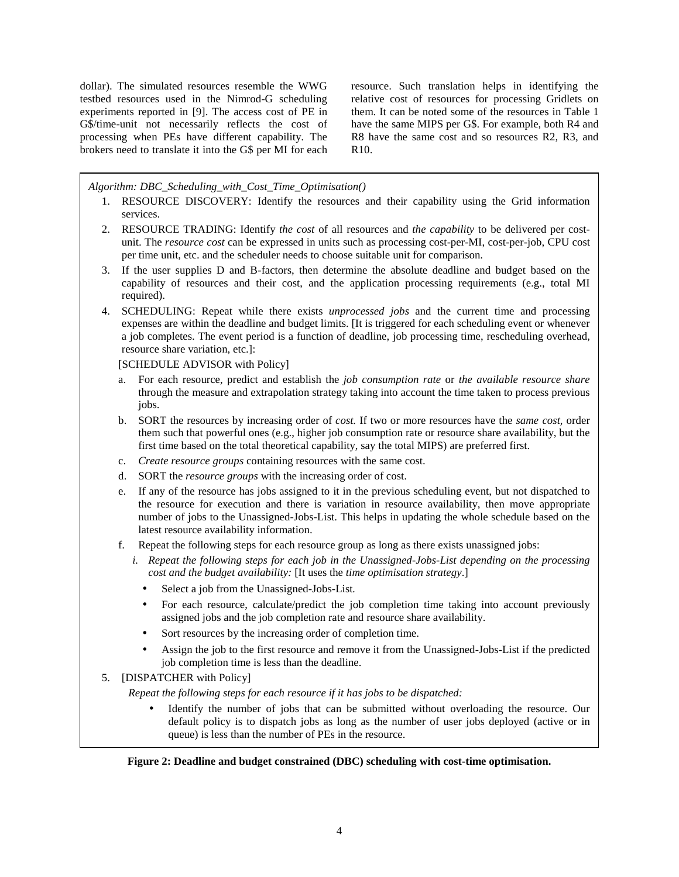dollar). The simulated resources resemble the WWG testbed resources used in the Nimrod-G scheduling experiments reported in [9]. The access cost of PE in G\$/time-unit not necessarily reflects the cost of processing when PEs have different capability. The brokers need to translate it into the G\$ per MI for each resource. Such translation helps in identifying the relative cost of resources for processing Gridlets on them. It can be noted some of the resources in Table 1 have the same MIPS per G\$. For example, both R4 and R8 have the same cost and so resources R2, R3, and R10.

*Algorithm: DBC\_Scheduling\_with\_Cost\_Time\_Optimisation()*

- 1. RESOURCE DISCOVERY: Identify the resources and their capability using the Grid information services.
- 2. RESOURCE TRADING: Identify *the cost* of all resources and *the capability* to be delivered per costunit. The *resource cost* can be expressed in units such as processing cost-per-MI, cost-per-job, CPU cost per time unit, etc. and the scheduler needs to choose suitable unit for comparison.
- 3. If the user supplies D and B-factors, then determine the absolute deadline and budget based on the capability of resources and their cost, and the application processing requirements (e.g., total MI required).
- 4. SCHEDULING: Repeat while there exists *unprocessed jobs* and the current time and processing expenses are within the deadline and budget limits. [It is triggered for each scheduling event or whenever a job completes. The event period is a function of deadline, job processing time, rescheduling overhead, resource share variation, etc.]:

[SCHEDULE ADVISOR with Policy]

- a. For each resource, predict and establish the *job consumption rate* or *the available resource share* through the measure and extrapolation strategy taking into account the time taken to process previous jobs.
- b. SORT the resources by increasing order of *cost.* If two or more resources have the *same cost,* order them such that powerful ones (e.g., higher job consumption rate or resource share availability, but the first time based on the total theoretical capability, say the total MIPS) are preferred first.
- c. *Create resource groups* containing resources with the same cost.
- d. SORT the *resource groups* with the increasing order of cost.
- e. If any of the resource has jobs assigned to it in the previous scheduling event, but not dispatched to the resource for execution and there is variation in resource availability, then move appropriate number of jobs to the Unassigned-Jobs-List. This helps in updating the whole schedule based on the latest resource availability information.
- f. Repeat the following steps for each resource group as long as there exists unassigned jobs:
	- *i. Repeat the following steps for each job in the Unassigned-Jobs-List depending on the processing cost and the budget availability:* [It uses the *time optimisation strategy*.]
		- Select a job from the Unassigned-Jobs-List*.*
		- For each resource, calculate/predict the job completion time taking into account previously assigned jobs and the job completion rate and resource share availability.
		- Sort resources by the increasing order of completion time.
		- Assign the job to the first resource and remove it from the Unassigned-Jobs-List if the predicted job completion time is less than the deadline.
- 5. [DISPATCHER with Policy]

*Repeat the following steps for each resource if it has jobs to be dispatched:*

• Identify the number of jobs that can be submitted without overloading the resource. Our default policy is to dispatch jobs as long as the number of user jobs deployed (active or in queue) is less than the number of PEs in the resource.

#### **Figure 2: Deadline and budget constrained (DBC) scheduling with cost-time optimisation.**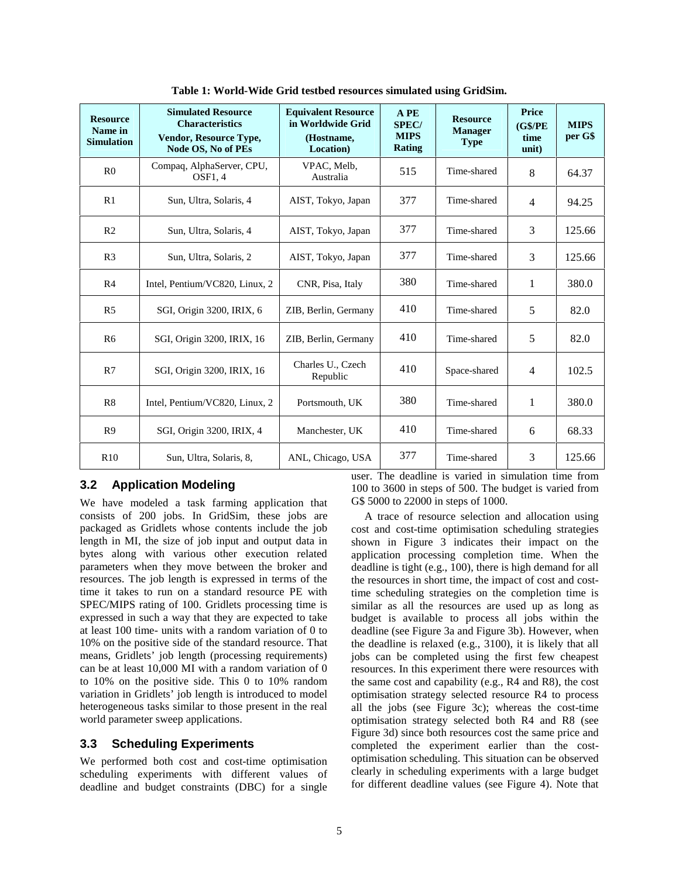| <b>Resource</b><br>Name in<br><b>Simulation</b> | <b>Simulated Resource</b><br><b>Characteristics</b><br><b>Vendor, Resource Type,</b><br>Node OS, No of PEs | <b>Equivalent Resource</b><br>in Worldwide Grid<br>(Hostname,<br>Location) | A PE<br><b>SPEC/</b><br><b>MIPS</b><br><b>Rating</b> | <b>Resource</b><br><b>Manager</b><br><b>Type</b> | Price<br>(G\$/PE)<br>time<br>unit) | <b>MIPS</b><br>per G\$ |
|-------------------------------------------------|------------------------------------------------------------------------------------------------------------|----------------------------------------------------------------------------|------------------------------------------------------|--------------------------------------------------|------------------------------------|------------------------|
| R <sub>0</sub>                                  | Compaq, AlphaServer, CPU,<br>OSF1, 4                                                                       | VPAC, Melb.<br>Australia                                                   | 515                                                  | Time-shared                                      | 8                                  | 64.37                  |
| R1                                              | Sun, Ultra, Solaris, 4                                                                                     | AIST, Tokyo, Japan                                                         | 377                                                  | Time-shared                                      | 4                                  | 94.25                  |
| R <sub>2</sub>                                  | Sun, Ultra, Solaris, 4                                                                                     | AIST, Tokyo, Japan                                                         | 377                                                  | Time-shared                                      | 3                                  | 125.66                 |
| R <sub>3</sub>                                  | Sun, Ultra, Solaris, 2                                                                                     | AIST, Tokyo, Japan                                                         | 377                                                  | Time-shared                                      | 3                                  | 125.66                 |
| R <sub>4</sub>                                  | Intel, Pentium/VC820, Linux, 2                                                                             | CNR, Pisa, Italy                                                           | 380                                                  | Time-shared                                      | 1                                  | 380.0                  |
| R <sub>5</sub>                                  | SGI, Origin 3200, IRIX, 6                                                                                  | ZIB, Berlin, Germany                                                       | 410                                                  | Time-shared                                      | 5                                  | 82.0                   |
| R <sub>6</sub>                                  | SGI, Origin 3200, IRIX, 16                                                                                 | ZIB, Berlin, Germany                                                       | 410                                                  | Time-shared                                      | 5                                  | 82.0                   |
| R7                                              | SGI, Origin 3200, IRIX, 16                                                                                 | Charles U., Czech<br>Republic                                              | 410                                                  | Space-shared                                     | $\overline{4}$                     | 102.5                  |
| R8                                              | Intel, Pentium/VC820, Linux, 2                                                                             | Portsmouth, UK                                                             | 380                                                  | Time-shared                                      | $\mathbf{1}$                       | 380.0                  |
| R <sub>9</sub>                                  | SGI, Origin 3200, IRIX, 4                                                                                  | Manchester, UK                                                             | 410                                                  | Time-shared                                      | 6                                  | 68.33                  |
| R10                                             | Sun, Ultra, Solaris, 8,                                                                                    | ANL, Chicago, USA                                                          | 377                                                  | Time-shared                                      | 3                                  | 125.66                 |

**Table 1: World-Wide Grid testbed resources simulated using GridSim.**

### **3.2 Application Modeling**

We have modeled a task farming application that consists of 200 jobs. In GridSim, these jobs are packaged as Gridlets whose contents include the job length in MI, the size of job input and output data in bytes along with various other execution related parameters when they move between the broker and resources. The job length is expressed in terms of the time it takes to run on a standard resource PE with SPEC/MIPS rating of 100. Gridlets processing time is expressed in such a way that they are expected to take at least 100 time- units with a random variation of 0 to 10% on the positive side of the standard resource. That means, Gridlets' job length (processing requirements) can be at least 10,000 MI with a random variation of 0 to 10% on the positive side. This 0 to 10% random variation in Gridlets' job length is introduced to model heterogeneous tasks similar to those present in the real world parameter sweep applications.

### **3.3 Scheduling Experiments**

We performed both cost and cost-time optimisation scheduling experiments with different values of deadline and budget constraints (DBC) for a single

user. The deadline is varied in simulation time from 100 to 3600 in steps of 500. The budget is varied from G\$ 5000 to 22000 in steps of 1000.

A trace of resource selection and allocation using cost and cost-time optimisation scheduling strategies shown in Figure 3 indicates their impact on the application processing completion time. When the deadline is tight (e.g., 100), there is high demand for all the resources in short time, the impact of cost and costtime scheduling strategies on the completion time is similar as all the resources are used up as long as budget is available to process all jobs within the deadline (see Figure 3a and Figure 3b). However, when the deadline is relaxed (e.g., 3100), it is likely that all jobs can be completed using the first few cheapest resources. In this experiment there were resources with the same cost and capability (e.g., R4 and R8), the cost optimisation strategy selected resource R4 to process all the jobs (see Figure 3c); whereas the cost-time optimisation strategy selected both R4 and R8 (see Figure 3d) since both resources cost the same price and completed the experiment earlier than the costoptimisation scheduling. This situation can be observed clearly in scheduling experiments with a large budget for different deadline values (see Figure 4). Note that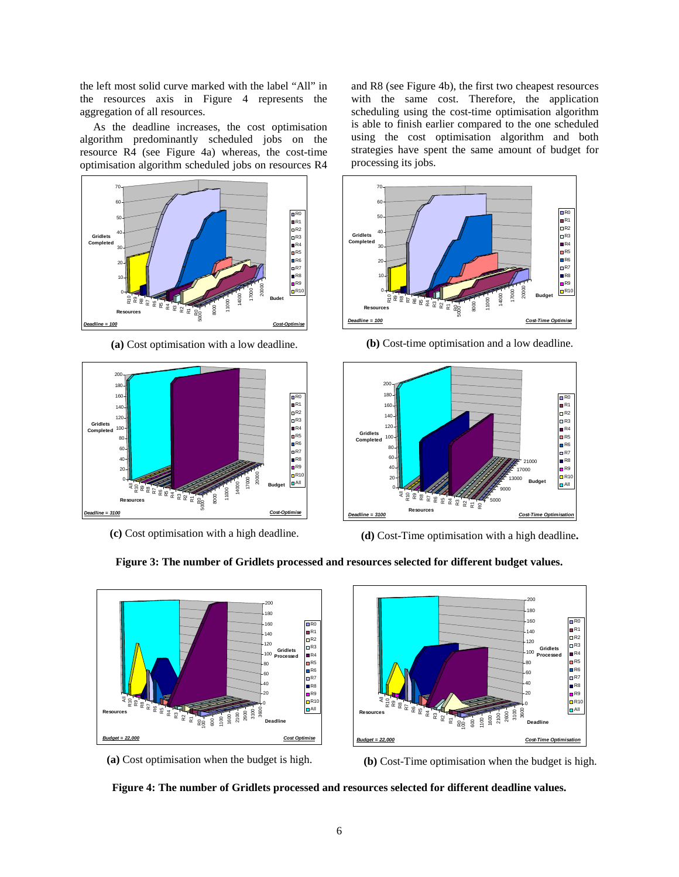the left most solid curve marked with the label "All" in the resources axis in Figure 4 represents the aggregation of all resources.

As the deadline increases, the cost optimisation algorithm predominantly scheduled jobs on the resource R4 (see Figure 4a) whereas, the cost-time optimisation algorithm scheduled jobs on resources R4



**(a)** Cost optimisation with a low deadline.



**(c)** Cost optimisation with a high deadline.

and R8 (see Figure 4b), the first two cheapest resources with the same cost. Therefore, the application scheduling using the cost-time optimisation algorithm is able to finish earlier compared to the one scheduled using the cost optimisation algorithm and both strategies have spent the same amount of budget for processing its jobs.



**(b)** Cost-time optimisation and a low deadline.





**(a)** Cost optimisation when the budget is high.





**(b)** Cost-Time optimisation when the budget is high.



**Figure 3: The number of Gridlets processed and resources selected for different budget values.**